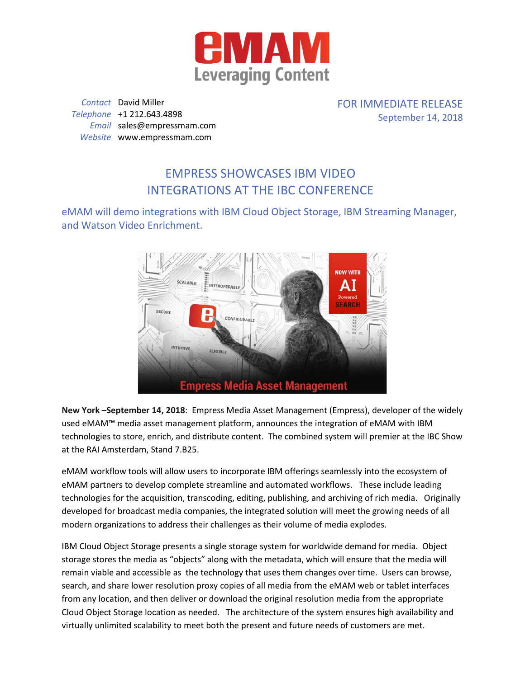

*Contact* David Miller *Telephone* +1 212.643.4898 *Email* sales@empressmam.com *Website* www.empressmam.com

FOR IMMEDIATE RELEASE September 14, 2018

## EMPRESS SHOWCASES IBM VIDEO INTEGRATIONS AT THE IBC CONFERENCE

eMAM will demo integrations with IBM Cloud Object Storage, IBM Streaming Manager, and Watson Video Enrichment.



**New York –September 14, 2018**: Empress Media Asset Management (Empress), developer of the widely used eMAM™ media asset management platform, announces the integration of eMAM with IBM technologies to store, enrich, and distribute content. The combined system will premier at the IBC Show at the RAI Amsterdam, Stand 7.B25.

eMAM workflow tools will allow users to incorporate IBM offerings seamlessly into the ecosystem of eMAM partners to develop complete streamline and automated workflows. These include leading technologies for the acquisition, transcoding, editing, publishing, and archiving of rich media. Originally developed for broadcast media companies, the integrated solution will meet the growing needs of all modern organizations to address their challenges as their volume of media explodes.

IBM Cloud Object Storage presents a single storage system for worldwide demand for media. Object storage stores the media as "objects" along with the metadata, which will ensure that the media will remain viable and accessible as the technology that uses them changes over time. Users can browse, search, and share lower resolution proxy copies of all media from the eMAM web or tablet interfaces from any location, and then deliver or download the original resolution media from the appropriate Cloud Object Storage location as needed. The architecture of the system ensures high availability and virtually unlimited scalability to meet both the present and future needs of customers are met.